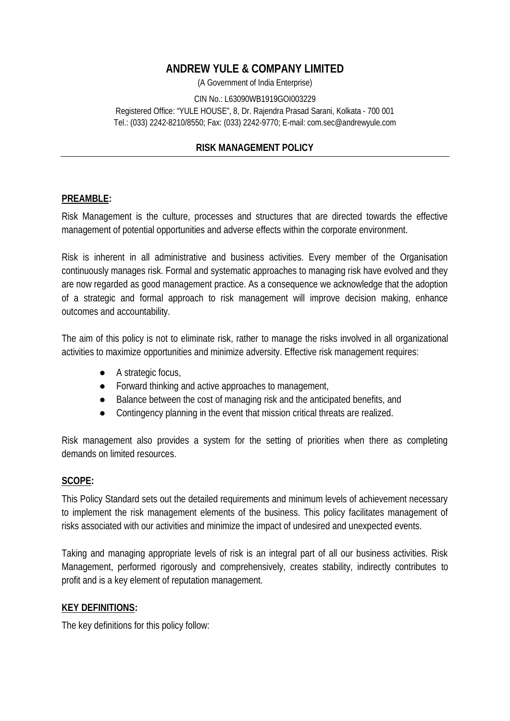# **ANDREW YULE & COMPANY LIMITED**

(A Government of India Enterprise)

#### CIN No.: L63090WB1919GOI003229 Registered Office: "YULE HOUSE", 8, Dr. Rajendra Prasad Sarani, Kolkata - 700 001 Tel.: (033) 2242-8210/8550; Fax: (033) 2242-9770; E-mail: com.sec@andrewyule.com

### **RISK MANAGEMENT POLICY**

#### **PREAMBLE:**

Risk Management is the culture, processes and structures that are directed towards the effective management of potential opportunities and adverse effects within the corporate environment.

Risk is inherent in all administrative and business activities. Every member of the Organisation continuously manages risk. Formal and systematic approaches to managing risk have evolved and they are now regarded as good management practice. As a consequence we acknowledge that the adoption of a strategic and formal approach to risk management will improve decision making, enhance outcomes and accountability.

The aim of this policy is not to eliminate risk, rather to manage the risks involved in all organizational activities to maximize opportunities and minimize adversity. Effective risk management requires:

> A strategic focus, Forward thinking and active approaches to management, Balance between the cost of managing risk and the anticipated benefits, and Contingency planning in the event that mission critical threats are realized.

Risk management also provides a system for the setting of priorities when there as completing demands on limited resources.

### **SCOPE:**

This Policy Standard sets out the detailed requirements and minimum levels of achievement necessary to implement the risk management elements of the business. This policy facilitates management of risks associated with our activities and minimize the impact of undesired and unexpected events.

Taking and managing appropriate levels of risk is an integral part of all our business activities. Risk Management, performed rigorously and comprehensively, creates stability, indirectly contributes to profit and is a key element of reputation management.

#### **KEY DEFINITIONS:**

The key definitions for this policy follow: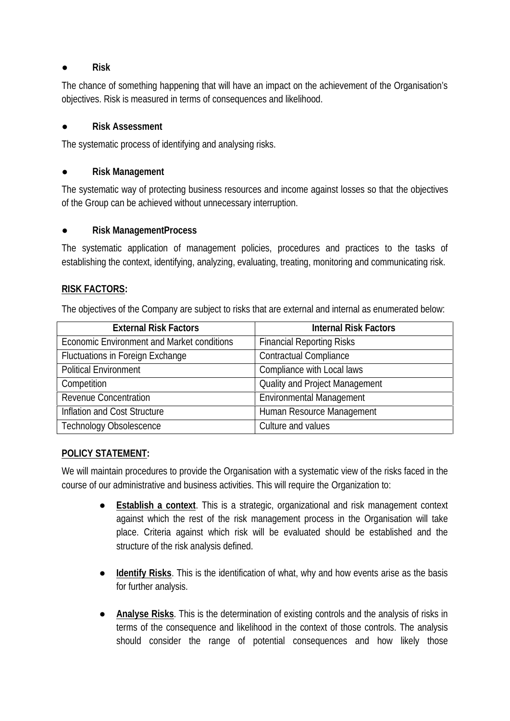### **Risk**

The chance of something happening that will have an impact on the achievement of the Organisation's objectives. Risk is measured in terms of consequences and likelihood.

### **Risk Assessment**

The systematic process of identifying and analysing risks.

## **Risk Management**

The systematic way of protecting business resources and income against losses so that the objectives of the Group can be achieved without unnecessary interruption.

### **Risk ManagementProcess**

The systematic application of management policies, procedures and practices to the tasks of establishing the context, identifying, analyzing, evaluating, treating, monitoring and communicating risk.

### **RISK FACTORS:**

The objectives of the Company are subject to risks that are external and internal as enumerated below:

| <b>External Risk Factors</b>                      | <b>Internal Risk Factors</b>          |
|---------------------------------------------------|---------------------------------------|
| <b>Economic Environment and Market conditions</b> | <b>Financial Reporting Risks</b>      |
| <b>Fluctuations in Foreign Exchange</b>           | <b>Contractual Compliance</b>         |
| <b>Political Environment</b>                      | Compliance with Local laws            |
| Competition                                       | <b>Quality and Project Management</b> |
| <b>Revenue Concentration</b>                      | <b>Environmental Management</b>       |
| Inflation and Cost Structure                      | Human Resource Management             |
| <b>Technology Obsolescence</b>                    | Culture and values                    |

### **POLICY STATEMENT:**

We will maintain procedures to provide the Organisation with a systematic view of the risks faced in the course of our administrative and business activities. This will require the Organization to:

> **Establish a context**. This is a strategic, organizational and risk management context against which the rest of the risk management process in the Organisation will take place. Criteria against which risk will be evaluated should be established and the structure of the risk analysis defined.

> **Identify Risks**. This is the identification of what, why and how events arise as the basis for further analysis.

> **Analyse Risks**. This is the determination of existing controls and the analysis of risks in terms of the consequence and likelihood in the context of those controls. The analysis should consider the range of potential consequences and how likely those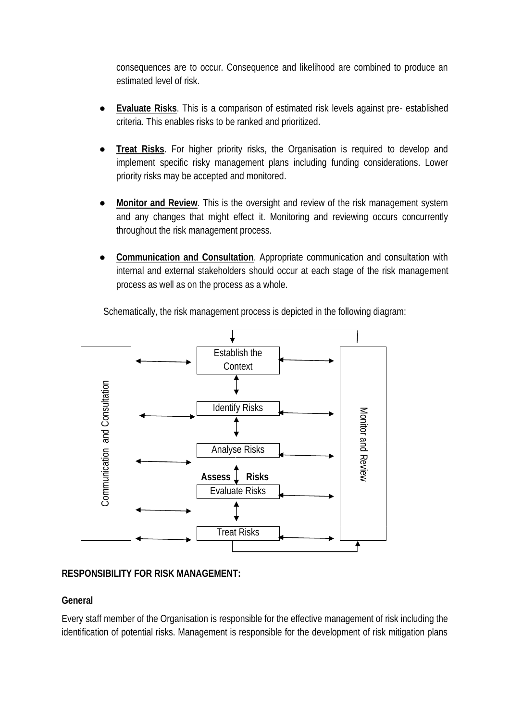consequences are to occur. Consequence and likelihood are combined to produce an estimated level of risk.

**Evaluate Risks**. This is a comparison of estimated risk levels against pre- established criteria. This enables risks to be ranked and prioritized.

**Treat Risks**. For higher priority risks, the Organisation is required to develop and implement specific risky management plans including funding considerations. Lower priority risks may be accepted and monitored.

**Monitor and Review**. This is the oversight and review of the risk management system and any changes that might effect it. Monitoring and reviewing occurs concurrently throughout the risk management process.

**Communication and Consultation**. Appropriate communication and consultation with internal and external stakeholders should occur at each stage of the risk management process as well as on the process as a whole.

Schematically, the risk management process is depicted in the following diagram:



### **RESPONSIBILITY FOR RISK MANAGEMENT:**

## **General**

Every staff member of the Organisation is responsible for the effective management of risk including the identification of potential risks. Management is responsible for the development of risk mitigation plans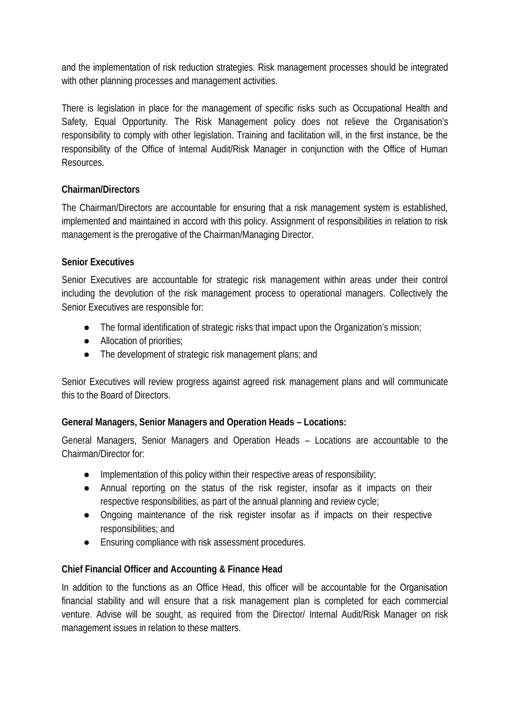and the implementation of risk reduction strategies. Risk management processes should be integrated with other planning processes and management activities.

There is legislation in place for the management of specific risks such as Occupational Health and Safety, Equal Opportunity. The Risk Management policy does not relieve the Organisation's responsibility to comply with other legislation. Training and facilitation will, in the first instance, be the responsibility of the Office of Internal Audit/Risk Manager in conjunction with the Office of Human Resources.

### **Chairman/Directors**

The Chairman/Directors are accountable for ensuring that a risk management system is established, implemented and maintained in accord with this policy. Assignment of responsibilities in relation to risk management is the prerogative of the Chairman/Managing Director.

### **Senior Executives**

Senior Executives are accountable for strategic risk management within areas under their control including the devolution of the risk management process to operational managers. Collectively the Senior Executives are responsible for:

The formal identification of strategic risks that impact upon the Organization's mission; Allocation of priorities;

The development of strategic risk management plans; and

Senior Executives will review progress against agreed risk management plans and will communicate this to the Board of Directors.

**General Managers, Senior Managers and Operation Heads – Locations:**

General Managers, Senior Managers and Operation Heads – Locations are accountable to the Chairman/Director for:

Implementation of this policy within their respective areas of responsibility; Annual reporting on the status of the risk register, insofar as it impacts on their respective responsibilities, as part of the annual planning and review cycle;

Ongoing maintenance of the risk register insofar as if impacts on their respective responsibilities; and

Ensuring compliance with risk assessment procedures.

**Chief Financial Officer and Accounting & Finance Head**

In addition to the functions as an Office Head, this officer will be accountable for the Organisation financial stability and will ensure that a risk management plan is completed for each commercial venture. Advise will be sought, as required from the Director/ Internal Audit/Risk Manager on risk management issues in relation to these matters.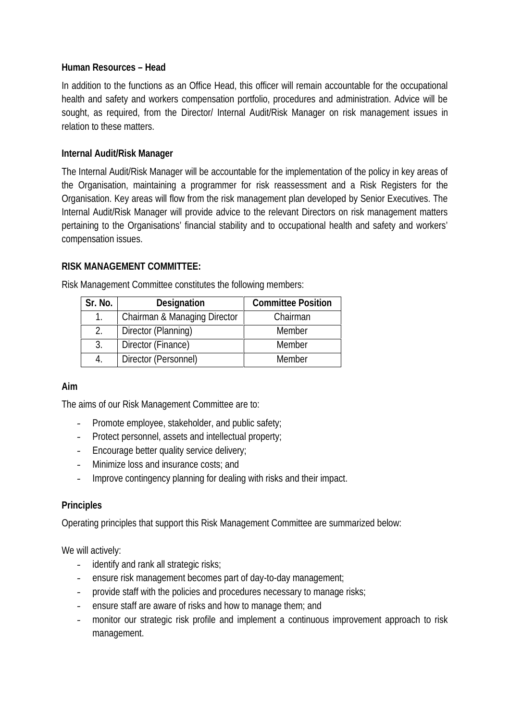### **Human Resources – Head**

In addition to the functions as an Office Head, this officer will remain accountable for the occupational health and safety and workers compensation portfolio, procedures and administration. Advice will be sought, as required, from the Director/ Internal Audit/Risk Manager on risk management issues in relation to these matters.

## **Internal Audit/Risk Manager**

The Internal Audit/Risk Manager will be accountable for the implementation of the policy in key areas of the Organisation, maintaining a programmer for risk reassessment and a Risk Registers for the Organisation. Key areas will flow from the risk management plan developed by Senior Executives. The Internal Audit/Risk Manager will provide advice to the relevant Directors on risk management matters pertaining to the Organisations' financial stability and to occupational health and safety and workers' compensation issues.

### **RISK MANAGEMENT COMMITTEE:**

| Sr. No. | Designation                  | <b>Committee Position</b> |
|---------|------------------------------|---------------------------|
|         | Chairman & Managing Director | Chairman                  |
| 2.      | Director (Planning)          | Member                    |
| 3.      | Director (Finance)           | Member                    |
| 4.      | Director (Personnel)         | Member                    |

Risk Management Committee constitutes the following members:

### **Aim**

The aims of our Risk Management Committee are to:

- Promote employee, stakeholder, and public safety;
- Protect personnel, assets and intellectual property;
- Encourage better quality service delivery;
- Minimize loss and insurance costs; and
- Improve contingency planning for dealing with risks and their impact.

## **Principles**

Operating principles that support this Risk Management Committee are summarized below:

We will actively:

- identify and rank all strategic risks;
- ensure risk management becomes part of day-to-day management;
- provide staff with the policies and procedures necessary to manage risks;
- ensure staff are aware of risks and how to manage them; and
- monitor our strategic risk profile and implement a continuous improvement approach to risk management.